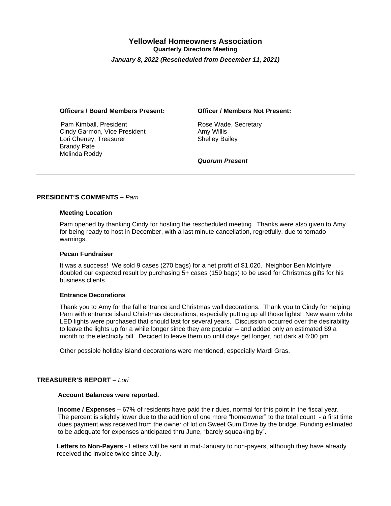# **Yellowleaf Homeowners Association Quarterly Directors Meeting**  *January 8, 2022 (Rescheduled from December 11, 2021)*

#### **Officers / Board Members Present: Officer / Members Not Present:**

Pam Kimball, President **Rose Wade, Secretary** Cindy Garmon, Vice President **Amy Willis** Lori Cheney, Treasurer Shelley Bailey Brandy Pate Melinda Roddy

*Quorum Present* 

# **PRESIDENT'S COMMENTS –** *Pam*

#### **Meeting Location**

Pam opened by thanking Cindy for hosting the rescheduled meeting. Thanks were also given to Amy for being ready to host in December, with a last minute cancellation, regretfully, due to tornado warnings.

#### **Pecan Fundraiser**

It was a success! We sold 9 cases (270 bags) for a net profit of \$1,020. Neighbor Ben McIntyre doubled our expected result by purchasing 5+ cases (159 bags) to be used for Christmas gifts for his business clients.

## **Entrance Decorations**

Thank you to Amy for the fall entrance and Christmas wall decorations. Thank you to Cindy for helping Pam with entrance island Christmas decorations, especially putting up all those lights! New warm white LED lights were purchased that should last for several years. Discussion occurred over the desirability to leave the lights up for a while longer since they are popular – and added only an estimated \$9 a month to the electricity bill. Decided to leave them up until days get longer, not dark at 6:00 pm.

Other possible holiday island decorations were mentioned, especially Mardi Gras.

# **TREASURER'S REPORT** – *Lori*

# **Account Balances were reported.**

 **Income / Expenses –** 67% of residents have paid their dues, normal for this point in the fiscal year. The percent is slightly lower due to the addition of one more "homeowner" to the total count - a first time dues payment was received from the owner of lot on Sweet Gum Drive by the bridge. Funding estimated to be adequate for expenses anticipated thru June, "barely squeaking by".

**Letters to Non-Payers** *-* Letters will be sent in mid-January to non-payers, although they have already received the invoice twice since July.